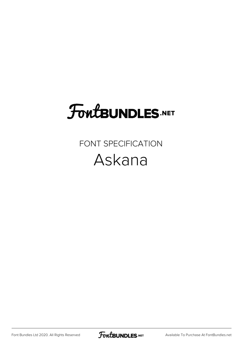# **FoutBUNDLES.NET**

### FONT SPECIFICATION Askana

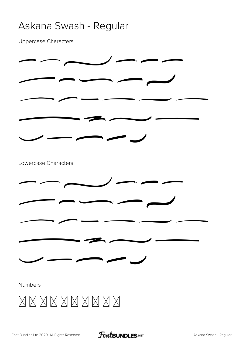#### Askana Swash - Regular

Uppercase Characters



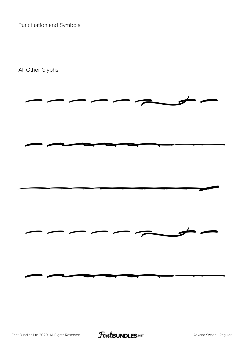Punctuation and Symbols

All Other Glyphs



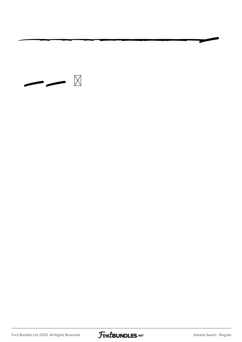



 $\overline{\phantom{0}}$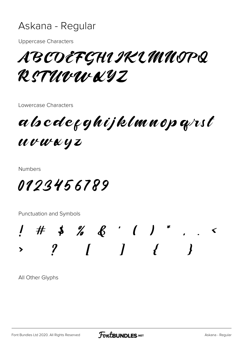

Uppercase Characters

ABCDEFGHIJKLMNOPQ RSTUVWXYZ

Lowercase Characters

abcdefghijklmnopqrst uvwxyz

Numbers

0123456789

Punctuation and Symbols

## $!$  # \$ % & ' ( ) \* , . <  $\begin{array}{cccc} \text{ } & 2 & 1 & 1 & 1 \end{array}$

All Other Glyphs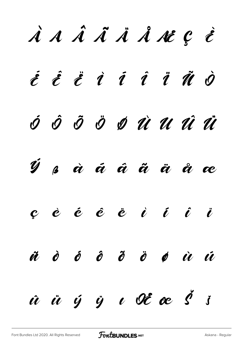À Á Â Ã Ä Å Æ Ç È  $\dot{t}$   $\dot{\ell}$   $\dot{\ell}$   $\dot{\ell}$   $\dot{\ell}$   $\dot{\ell}$   $\dot{\ell}$   $\ddot{\ell}$   $\ddot{\ell}$   $\ddot{\ell}$   $\ddot{\ell}$ Ó Ô Õ Ö Ø Ù Ú Û Ü  $\acute{y}$   $_{\dot{B}}$   $\dot{\alpha}$   $\acute{\alpha}$   $\ddot{\alpha}$   $\ddot{\alpha}$   $\ddot{\alpha}$   $\ddot{\alpha}$   $_{\dot{\alpha}}$   $_{\dot{\alpha}}$  $\boldsymbol{c}$  è é è è  $\boldsymbol{i}$   $\boldsymbol{i}$   $\boldsymbol{i}$ ñ ò ó ô õ ö ø ù ú  $\dot{u}$   $\ddot{u}$   $\dot{y}$   $v$   $\mathscr{C}$   $\stackrel{\circ}{c}$   $\stackrel{\circ}{s}$   $\stackrel{\circ}{s}$